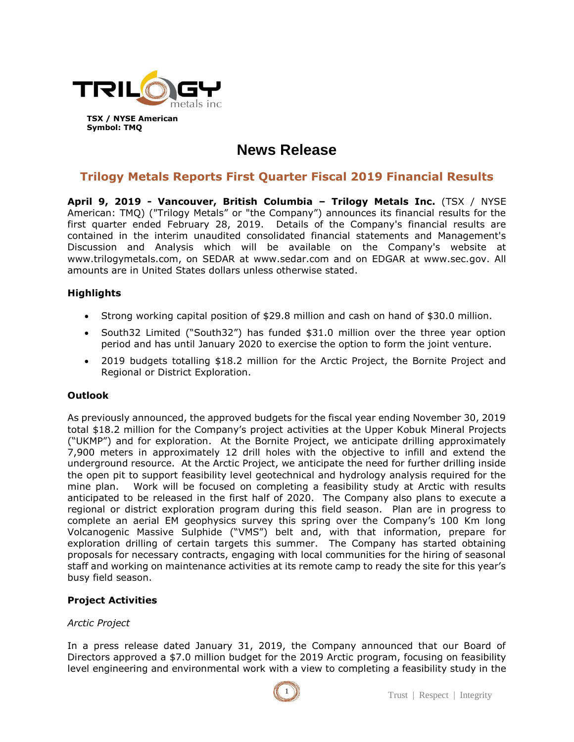

# **News Release**

# **Trilogy Metals Reports First Quarter Fiscal 2019 Financial Results**

**April 9, 2019 - Vancouver, British Columbia – Trilogy Metals Inc.** (TSX / NYSE American: TMQ) ("Trilogy Metals" or "the Company") announces its financial results for the first quarter ended February 28, 2019. Details of the Company's financial results are contained in the interim unaudited consolidated financial statements and Management's Discussion and Analysis which will be available on the Company's website at www.trilogymetals.com, on SEDAR at www.sedar.com and on EDGAR at www.sec.gov. All amounts are in United States dollars unless otherwise stated.

# **Highlights**

- Strong working capital position of \$29.8 million and cash on hand of \$30.0 million.
- South32 Limited ("South32") has funded \$31.0 million over the three year option period and has until January 2020 to exercise the option to form the joint venture.
- 2019 budgets totalling \$18.2 million for the Arctic Project, the Bornite Project and Regional or District Exploration.

#### **Outlook**

As previously announced, the approved budgets for the fiscal year ending November 30, 2019 total \$18.2 million for the Company's project activities at the Upper Kobuk Mineral Projects ("UKMP") and for exploration. At the Bornite Project, we anticipate drilling approximately 7,900 meters in approximately 12 drill holes with the objective to infill and extend the underground resource. At the Arctic Project, we anticipate the need for further drilling inside the open pit to support feasibility level geotechnical and hydrology analysis required for the mine plan. Work will be focused on completing a feasibility study at Arctic with results anticipated to be released in the first half of 2020. The Company also plans to execute a regional or district exploration program during this field season. Plan are in progress to complete an aerial EM geophysics survey this spring over the Company's 100 Km long Volcanogenic Massive Sulphide ("VMS") belt and, with that information, prepare for exploration drilling of certain targets this summer. The Company has started obtaining proposals for necessary contracts, engaging with local communities for the hiring of seasonal staff and working on maintenance activities at its remote camp to ready the site for this year's busy field season.

#### **Project Activities**

#### *Arctic Project*

In a press release dated January 31, 2019, the Company announced that our Board of Directors approved a \$7.0 million budget for the 2019 Arctic program, focusing on feasibility level engineering and environmental work with a view to completing a feasibility study in the

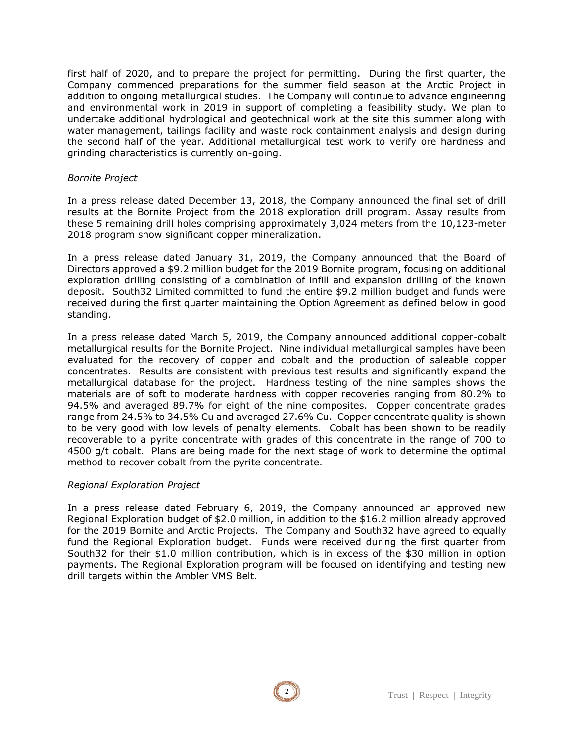first half of 2020, and to prepare the project for permitting. During the first quarter, the Company commenced preparations for the summer field season at the Arctic Project in addition to ongoing metallurgical studies. The Company will continue to advance engineering and environmental work in 2019 in support of completing a feasibility study. We plan to undertake additional hydrological and geotechnical work at the site this summer along with water management, tailings facility and waste rock containment analysis and design during the second half of the year. Additional metallurgical test work to verify ore hardness and grinding characteristics is currently on-going.

#### *Bornite Project*

In a press release dated December 13, 2018, the Company announced the final set of drill results at the Bornite Project from the 2018 exploration drill program. Assay results from these 5 remaining drill holes comprising approximately 3,024 meters from the 10,123-meter 2018 program show significant copper mineralization.

In a press release dated January 31, 2019, the Company announced that the Board of Directors approved a \$9.2 million budget for the 2019 Bornite program, focusing on additional exploration drilling consisting of a combination of infill and expansion drilling of the known deposit. South32 Limited committed to fund the entire \$9.2 million budget and funds were received during the first quarter maintaining the Option Agreement as defined below in good standing.

In a press release dated March 5, 2019, the Company announced additional copper-cobalt metallurgical results for the Bornite Project. Nine individual metallurgical samples have been evaluated for the recovery of copper and cobalt and the production of saleable copper concentrates. Results are consistent with previous test results and significantly expand the metallurgical database for the project. Hardness testing of the nine samples shows the materials are of soft to moderate hardness with copper recoveries ranging from 80.2% to 94.5% and averaged 89.7% for eight of the nine composites. Copper concentrate grades range from 24.5% to 34.5% Cu and averaged 27.6% Cu. Copper concentrate quality is shown to be very good with low levels of penalty elements. Cobalt has been shown to be readily recoverable to a pyrite concentrate with grades of this concentrate in the range of 700 to 4500 g/t cobalt. Plans are being made for the next stage of work to determine the optimal method to recover cobalt from the pyrite concentrate.

#### *Regional Exploration Project*

In a press release dated February 6, 2019, the Company announced an approved new Regional Exploration budget of \$2.0 million, in addition to the \$16.2 million already approved for the 2019 Bornite and Arctic Projects. The Company and South32 have agreed to equally fund the Regional Exploration budget. Funds were received during the first quarter from South32 for their \$1.0 million contribution, which is in excess of the \$30 million in option payments. The Regional Exploration program will be focused on identifying and testing new drill targets within the Ambler VMS Belt.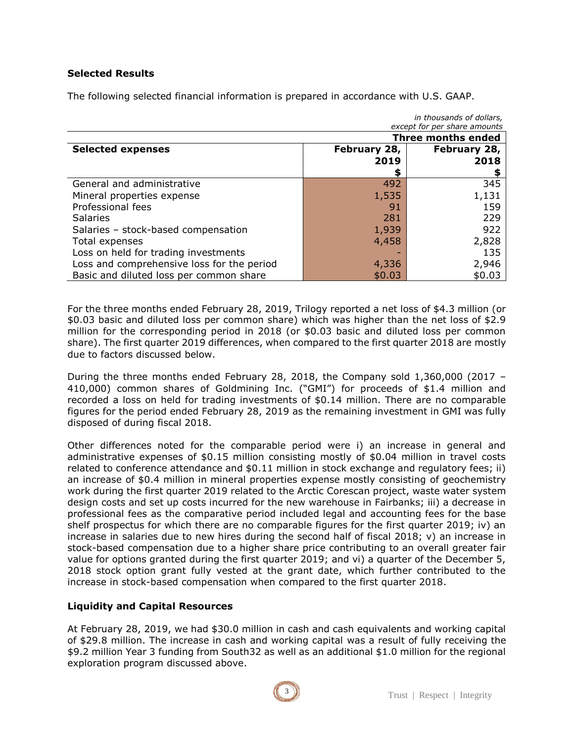#### **Selected Results**

The following selected financial information is prepared in accordance with U.S. GAAP.

| iii uluusallus ol uullals,                 |                           |              |
|--------------------------------------------|---------------------------|--------------|
| except for per share amounts               |                           |              |
|                                            | <b>Three months ended</b> |              |
| <b>Selected expenses</b>                   | February 28,              | February 28, |
|                                            | 2019                      | 2018         |
|                                            | S                         |              |
| General and administrative                 | 492                       | 345          |
| Mineral properties expense                 | 1,535                     | 1,131        |
| Professional fees                          | 91                        | 159          |
| <b>Salaries</b>                            | 281                       | 229          |
| Salaries - stock-based compensation        | 1,939                     | 922          |
| Total expenses                             | 4,458                     | 2,828        |
| Loss on held for trading investments       |                           | 135          |
| Loss and comprehensive loss for the period | 4,336                     | 2,946        |
| Basic and diluted loss per common share    | \$0.03                    | \$0.03       |

For the three months ended February 28, 2019, Trilogy reported a net loss of \$4.3 million (or \$0.03 basic and diluted loss per common share) which was higher than the net loss of \$2.9 million for the corresponding period in 2018 (or \$0.03 basic and diluted loss per common share). The first quarter 2019 differences, when compared to the first quarter 2018 are mostly due to factors discussed below.

During the three months ended February 28, 2018, the Company sold 1,360,000 (2017 – 410,000) common shares of Goldmining Inc. ("GMI") for proceeds of \$1.4 million and recorded a loss on held for trading investments of \$0.14 million. There are no comparable figures for the period ended February 28, 2019 as the remaining investment in GMI was fully disposed of during fiscal 2018.

Other differences noted for the comparable period were i) an increase in general and administrative expenses of \$0.15 million consisting mostly of \$0.04 million in travel costs related to conference attendance and \$0.11 million in stock exchange and regulatory fees; ii) an increase of \$0.4 million in mineral properties expense mostly consisting of geochemistry work during the first quarter 2019 related to the Arctic Corescan project, waste water system design costs and set up costs incurred for the new warehouse in Fairbanks; iii) a decrease in professional fees as the comparative period included legal and accounting fees for the base shelf prospectus for which there are no comparable figures for the first quarter 2019; iv) an increase in salaries due to new hires during the second half of fiscal 2018;  $v$ ) an increase in stock-based compensation due to a higher share price contributing to an overall greater fair value for options granted during the first quarter 2019; and vi) a quarter of the December 5, 2018 stock option grant fully vested at the grant date, which further contributed to the increase in stock-based compensation when compared to the first quarter 2018.

# **Liquidity and Capital Resources**

At February 28, 2019, we had \$30.0 million in cash and cash equivalents and working capital of \$29.8 million. The increase in cash and working capital was a result of fully receiving the \$9.2 million Year 3 funding from South32 as well as an additional \$1.0 million for the regional exploration program discussed above.



*in thousands of dollars,*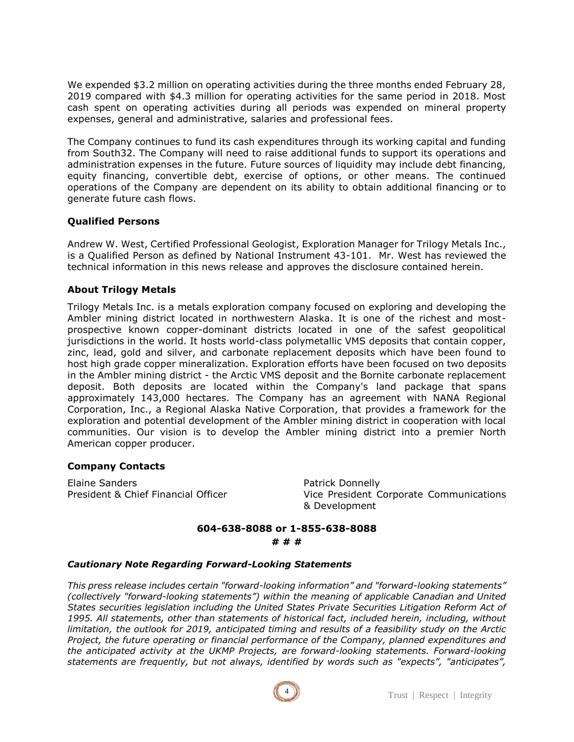We expended \$3.2 million on operating activities during the three months ended February 28, 2019 compared with \$4.3 million for operating activities for the same period in 2018. Most cash spent on operating activities during all periods was expended on mineral property expenses, general and administrative, salaries and professional fees.

The Company continues to fund its cash expenditures through its working capital and funding from South32. The Company will need to raise additional funds to support its operations and administration expenses in the future. Future sources of liquidity may include debt financing, equity financing, convertible debt, exercise of options, or other means. The continued operations of the Company are dependent on its ability to obtain additional financing or to generate future cash flows.

# **Qualified Persons**

Andrew W. West, Certified Professional Geologist, Exploration Manager for Trilogy Metals Inc., is a Qualified Person as defined by National Instrument 43-101. Mr. West has reviewed the technical information in this news release and approves the disclosure contained herein.

# **About Trilogy Metals**

Trilogy Metals Inc. is a metals exploration company focused on exploring and developing the Ambler mining district located in northwestern Alaska. It is one of the richest and mostprospective known copper-dominant districts located in one of the safest geopolitical jurisdictions in the world. It hosts world-class polymetallic VMS deposits that contain copper, zinc, lead, gold and silver, and carbonate replacement deposits which have been found to host high grade copper mineralization. Exploration efforts have been focused on two deposits in the Ambler mining district - the Arctic VMS deposit and the Bornite carbonate replacement deposit. Both deposits are located within the Company's land package that spans approximately 143,000 hectares. The Company has an agreement with NANA Regional Corporation, Inc., a Regional Alaska Native Corporation, that provides a framework for the exploration and potential development of the Ambler mining district in cooperation with local communities. Our vision is to develop the Ambler mining district into a premier North American copper producer.

#### **Company Contacts**

Elaine Sanders **Patrick Donnelly** 

President & Chief Financial Officer Vice President Corporate Communications & Development

# **604-638-8088 or 1-855-638-8088 # # #**

#### *Cautionary Note Regarding Forward-Looking Statements*

*This press release includes certain "forward-looking information" and "forward-looking statements" (collectively "forward-looking statements") within the meaning of applicable Canadian and United States securities legislation including the United States Private Securities Litigation Reform Act of 1995. All statements, other than statements of historical fact, included herein, including, without limitation, the outlook for 2019, anticipated timing and results of a feasibility study on the Arctic Project, the future operating or financial performance of the Company, planned expenditures and the anticipated activity at the UKMP Projects, are forward-looking statements. Forward-looking statements are frequently, but not always, identified by words such as "expects", "anticipates",* 

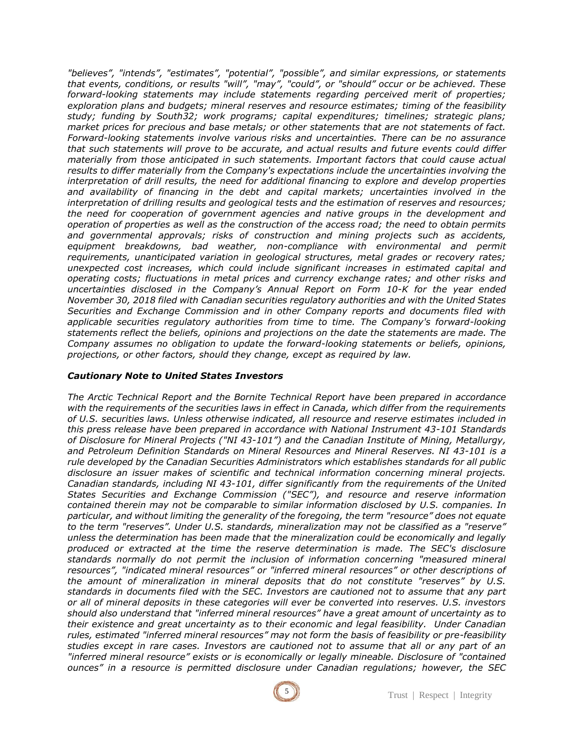*"believes", "intends", "estimates", "potential", "possible", and similar expressions, or statements that events, conditions, or results "will", "may", "could", or "should" occur or be achieved. These forward-looking statements may include statements regarding perceived merit of properties; exploration plans and budgets; mineral reserves and resource estimates; timing of the feasibility study; funding by South32; work programs; capital expenditures; timelines; strategic plans; market prices for precious and base metals; or other statements that are not statements of fact. Forward-looking statements involve various risks and uncertainties. There can be no assurance that such statements will prove to be accurate, and actual results and future events could differ materially from those anticipated in such statements. Important factors that could cause actual results to differ materially from the Company's expectations include the uncertainties involving the interpretation of drill results, the need for additional financing to explore and develop properties and availability of financing in the debt and capital markets; uncertainties involved in the interpretation of drilling results and geological tests and the estimation of reserves and resources; the need for cooperation of government agencies and native groups in the development and operation of properties as well as the construction of the access road; the need to obtain permits and governmental approvals; risks of construction and mining projects such as accidents,*  equipment breakdowns, bad weather, non-compliance with environmental and permit *requirements, unanticipated variation in geological structures, metal grades or recovery rates; unexpected cost increases, which could include significant increases in estimated capital and operating costs; fluctuations in metal prices and currency exchange rates; and other risks and uncertainties disclosed in the Company's Annual Report on Form 10-K for the year ended November 30, 2018 filed with Canadian securities regulatory authorities and with the United States Securities and Exchange Commission and in other Company reports and documents filed with applicable securities regulatory authorities from time to time. The Company's forward-looking statements reflect the beliefs, opinions and projections on the date the statements are made. The Company assumes no obligation to update the forward-looking statements or beliefs, opinions, projections, or other factors, should they change, except as required by law.*

#### *Cautionary Note to United States Investors*

*The Arctic Technical Report and the Bornite Technical Report have been prepared in accordance with the requirements of the securities laws in effect in Canada, which differ from the requirements of U.S. securities laws. Unless otherwise indicated, all resource and reserve estimates included in this press release have been prepared in accordance with National Instrument 43-101 Standards of Disclosure for Mineral Projects ("NI 43-101") and the Canadian Institute of Mining, Metallurgy, and Petroleum Definition Standards on Mineral Resources and Mineral Reserves. NI 43-101 is a rule developed by the Canadian Securities Administrators which establishes standards for all public disclosure an issuer makes of scientific and technical information concerning mineral projects. Canadian standards, including NI 43-101, differ significantly from the requirements of the United States Securities and Exchange Commission ("SEC"), and resource and reserve information contained therein may not be comparable to similar information disclosed by U.S. companies. In particular, and without limiting the generality of the foregoing, the term "resource" does not equate to the term "reserves". Under U.S. standards, mineralization may not be classified as a "reserve" unless the determination has been made that the mineralization could be economically and legally produced or extracted at the time the reserve determination is made. The SEC's disclosure standards normally do not permit the inclusion of information concerning "measured mineral resources", "indicated mineral resources" or "inferred mineral resources" or other descriptions of the amount of mineralization in mineral deposits that do not constitute "reserves" by U.S. standards in documents filed with the SEC. Investors are cautioned not to assume that any part or all of mineral deposits in these categories will ever be converted into reserves. U.S. investors should also understand that "inferred mineral resources" have a great amount of uncertainty as to their existence and great uncertainty as to their economic and legal feasibility. Under Canadian rules, estimated "inferred mineral resources" may not form the basis of feasibility or pre-feasibility studies except in rare cases. Investors are cautioned not to assume that all or any part of an "inferred mineral resource" exists or is economically or legally mineable. Disclosure of "contained ounces" in a resource is permitted disclosure under Canadian regulations; however, the SEC*